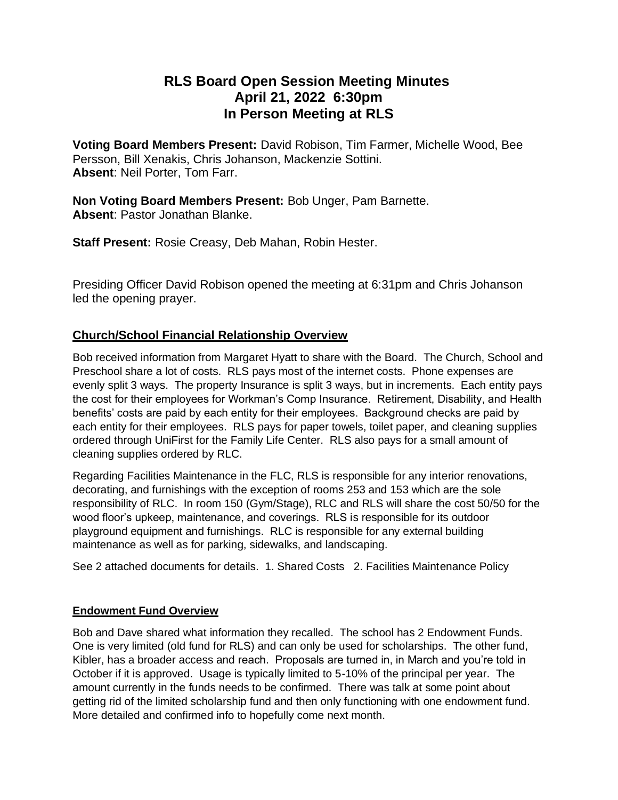# **RLS Board Open Session Meeting Minutes April 21, 2022 6:30pm In Person Meeting at RLS**

**Voting Board Members Present:** David Robison, Tim Farmer, Michelle Wood, Bee Persson, Bill Xenakis, Chris Johanson, Mackenzie Sottini. **Absent**: Neil Porter, Tom Farr.

**Non Voting Board Members Present:** Bob Unger, Pam Barnette. **Absent**: Pastor Jonathan Blanke.

**Staff Present:** Rosie Creasy, Deb Mahan, Robin Hester.

Presiding Officer David Robison opened the meeting at 6:31pm and Chris Johanson led the opening prayer.

## **Church/School Financial Relationship Overview**

Bob received information from Margaret Hyatt to share with the Board. The Church, School and Preschool share a lot of costs. RLS pays most of the internet costs. Phone expenses are evenly split 3 ways. The property Insurance is split 3 ways, but in increments. Each entity pays the cost for their employees for Workman's Comp Insurance. Retirement, Disability, and Health benefits' costs are paid by each entity for their employees. Background checks are paid by each entity for their employees. RLS pays for paper towels, toilet paper, and cleaning supplies ordered through UniFirst for the Family Life Center. RLS also pays for a small amount of cleaning supplies ordered by RLC.

Regarding Facilities Maintenance in the FLC, RLS is responsible for any interior renovations, decorating, and furnishings with the exception of rooms 253 and 153 which are the sole responsibility of RLC. In room 150 (Gym/Stage), RLC and RLS will share the cost 50/50 for the wood floor's upkeep, maintenance, and coverings. RLS is responsible for its outdoor playground equipment and furnishings. RLC is responsible for any external building maintenance as well as for parking, sidewalks, and landscaping.

See 2 attached documents for details. 1. Shared Costs 2. Facilities Maintenance Policy

### **Endowment Fund Overview**

Bob and Dave shared what information they recalled. The school has 2 Endowment Funds. One is very limited (old fund for RLS) and can only be used for scholarships. The other fund, Kibler, has a broader access and reach. Proposals are turned in, in March and you're told in October if it is approved. Usage is typically limited to 5-10% of the principal per year. The amount currently in the funds needs to be confirmed. There was talk at some point about getting rid of the limited scholarship fund and then only functioning with one endowment fund. More detailed and confirmed info to hopefully come next month.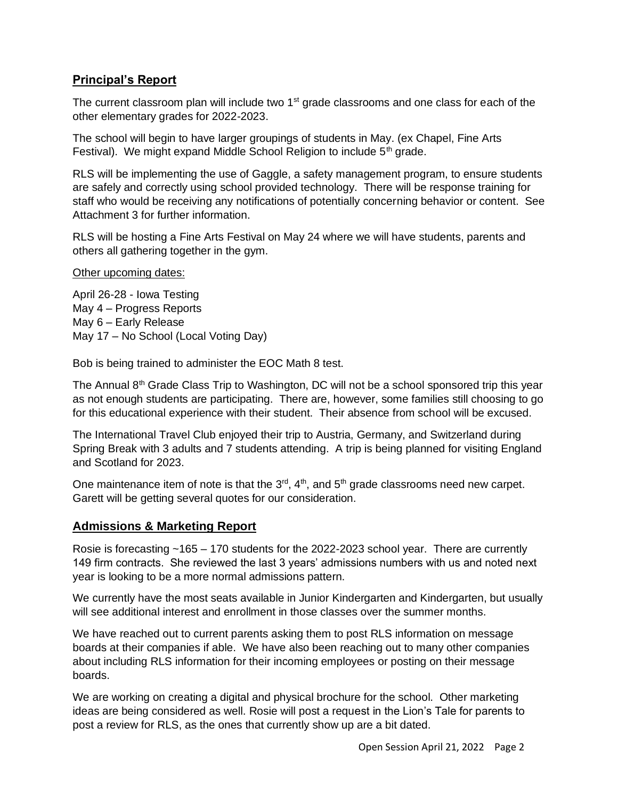## **Principal's Report**

The current classroom plan will include two  $1<sup>st</sup>$  grade classrooms and one class for each of the other elementary grades for 2022-2023.

The school will begin to have larger groupings of students in May. (ex Chapel, Fine Arts Festival). We might expand Middle School Religion to include  $5<sup>th</sup>$  grade.

RLS will be implementing the use of Gaggle, a safety management program, to ensure students are safely and correctly using school provided technology. There will be response training for staff who would be receiving any notifications of potentially concerning behavior or content. See Attachment 3 for further information.

RLS will be hosting a Fine Arts Festival on May 24 where we will have students, parents and others all gathering together in the gym.

Other upcoming dates:

April 26-28 - Iowa Testing May 4 – Progress Reports May 6 – Early Release May 17 – No School (Local Voting Day)

Bob is being trained to administer the EOC Math 8 test.

The Annual  $8<sup>th</sup>$  Grade Class Trip to Washington, DC will not be a school sponsored trip this year as not enough students are participating. There are, however, some families still choosing to go for this educational experience with their student. Their absence from school will be excused.

The International Travel Club enjoyed their trip to Austria, Germany, and Switzerland during Spring Break with 3 adults and 7 students attending. A trip is being planned for visiting England and Scotland for 2023.

One maintenance item of note is that the  $3<sup>rd</sup>$ ,  $4<sup>th</sup>$ , and  $5<sup>th</sup>$  grade classrooms need new carpet. Garett will be getting several quotes for our consideration.

#### **Admissions & Marketing Report**

Rosie is forecasting ~165 – 170 students for the 2022-2023 school year. There are currently 149 firm contracts. She reviewed the last 3 years' admissions numbers with us and noted next year is looking to be a more normal admissions pattern.

We currently have the most seats available in Junior Kindergarten and Kindergarten, but usually will see additional interest and enrollment in those classes over the summer months.

We have reached out to current parents asking them to post RLS information on message boards at their companies if able. We have also been reaching out to many other companies about including RLS information for their incoming employees or posting on their message boards.

We are working on creating a digital and physical brochure for the school. Other marketing ideas are being considered as well. Rosie will post a request in the Lion's Tale for parents to post a review for RLS, as the ones that currently show up are a bit dated.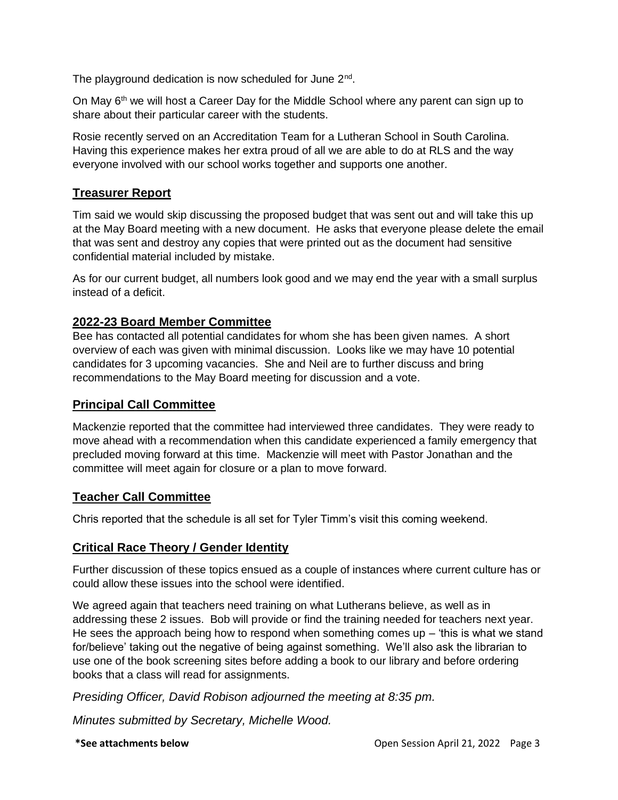The playground dedication is now scheduled for June 2<sup>nd</sup>.

On May 6<sup>th</sup> we will host a Career Day for the Middle School where any parent can sign up to share about their particular career with the students.

Rosie recently served on an Accreditation Team for a Lutheran School in South Carolina. Having this experience makes her extra proud of all we are able to do at RLS and the way everyone involved with our school works together and supports one another.

## **Treasurer Report**

Tim said we would skip discussing the proposed budget that was sent out and will take this up at the May Board meeting with a new document. He asks that everyone please delete the email that was sent and destroy any copies that were printed out as the document had sensitive confidential material included by mistake.

As for our current budget, all numbers look good and we may end the year with a small surplus instead of a deficit.

### **2022-23 Board Member Committee**

Bee has contacted all potential candidates for whom she has been given names. A short overview of each was given with minimal discussion. Looks like we may have 10 potential candidates for 3 upcoming vacancies. She and Neil are to further discuss and bring recommendations to the May Board meeting for discussion and a vote.

### **Principal Call Committee**

Mackenzie reported that the committee had interviewed three candidates. They were ready to move ahead with a recommendation when this candidate experienced a family emergency that precluded moving forward at this time. Mackenzie will meet with Pastor Jonathan and the committee will meet again for closure or a plan to move forward.

### **Teacher Call Committee**

Chris reported that the schedule is all set for Tyler Timm's visit this coming weekend.

## **Critical Race Theory / Gender Identity**

Further discussion of these topics ensued as a couple of instances where current culture has or could allow these issues into the school were identified.

We agreed again that teachers need training on what Lutherans believe, as well as in addressing these 2 issues. Bob will provide or find the training needed for teachers next year. He sees the approach being how to respond when something comes up  $-$  'this is what we stand for/believe' taking out the negative of being against something. We'll also ask the librarian to use one of the book screening sites before adding a book to our library and before ordering books that a class will read for assignments.

*Presiding Officer, David Robison adjourned the meeting at 8:35 pm.*

*Minutes submitted by Secretary, Michelle Wood.*